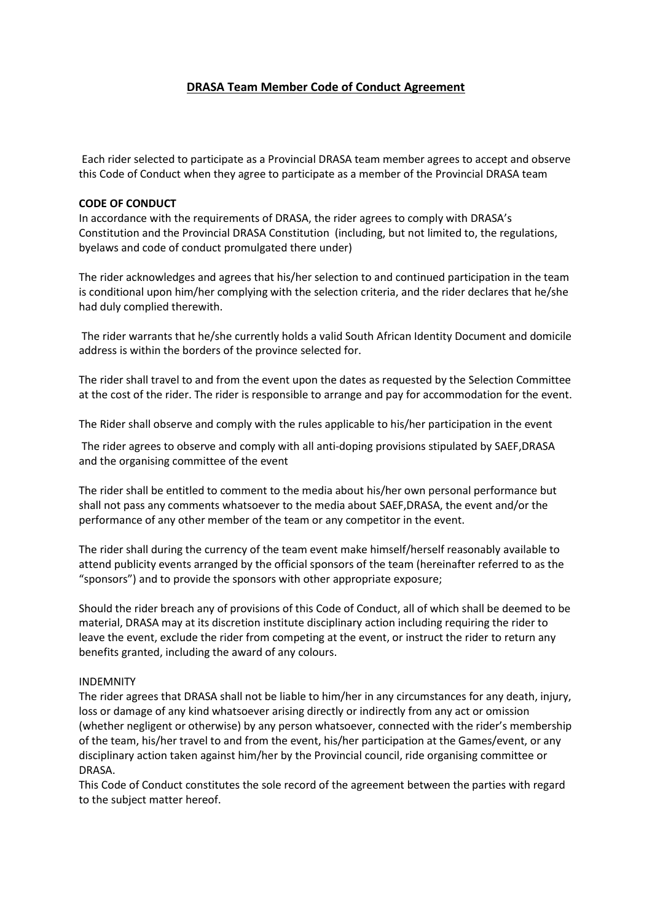# **DRASA Team Member Code of Conduct Agreement**

Each rider selected to participate as a Provincial DRASA team member agrees to accept and observe this Code of Conduct when they agree to participate as a member of the Provincial DRASA team

### **CODE OF CONDUCT**

In accordance with the requirements of DRASA, the rider agrees to comply with DRASA's Constitution and the Provincial DRASA Constitution (including, but not limited to, the regulations, byelaws and code of conduct promulgated there under)

The rider acknowledges and agrees that his/her selection to and continued participation in the team is conditional upon him/her complying with the selection criteria, and the rider declares that he/she had duly complied therewith.

The rider warrants that he/she currently holds a valid South African Identity Document and domicile address is within the borders of the province selected for.

The rider shall travel to and from the event upon the dates as requested by the Selection Committee at the cost of the rider. The rider is responsible to arrange and pay for accommodation for the event.

The Rider shall observe and comply with the rules applicable to his/her participation in the event

The rider agrees to observe and comply with all anti-doping provisions stipulated by SAEF,DRASA and the organising committee of the event

The rider shall be entitled to comment to the media about his/her own personal performance but shall not pass any comments whatsoever to the media about SAEF,DRASA, the event and/or the performance of any other member of the team or any competitor in the event.

The rider shall during the currency of the team event make himself/herself reasonably available to attend publicity events arranged by the official sponsors of the team (hereinafter referred to as the "sponsors") and to provide the sponsors with other appropriate exposure;

Should the rider breach any of provisions of this Code of Conduct, all of which shall be deemed to be material, DRASA may at its discretion institute disciplinary action including requiring the rider to leave the event, exclude the rider from competing at the event, or instruct the rider to return any benefits granted, including the award of any colours.

#### INDEMNITY

The rider agrees that DRASA shall not be liable to him/her in any circumstances for any death, injury, loss or damage of any kind whatsoever arising directly or indirectly from any act or omission (whether negligent or otherwise) by any person whatsoever, connected with the rider's membership of the team, his/her travel to and from the event, his/her participation at the Games/event, or any disciplinary action taken against him/her by the Provincial council, ride organising committee or DRASA.

This Code of Conduct constitutes the sole record of the agreement between the parties with regard to the subject matter hereof.